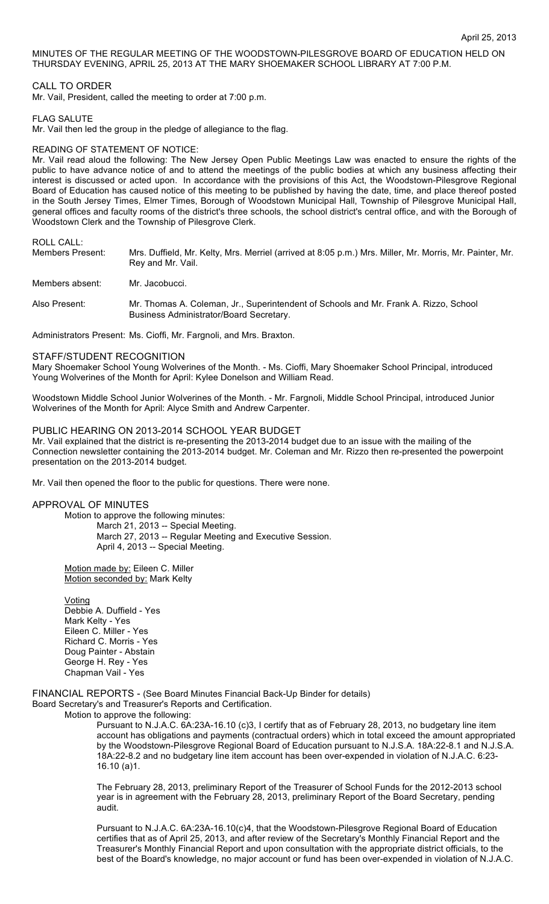MINUTES OF THE REGULAR MEETING OF THE WOODSTOWN-PILESGROVE BOARD OF EDUCATION HELD ON THURSDAY EVENING, APRIL 25, 2013 AT THE MARY SHOEMAKER SCHOOL LIBRARY AT 7:00 P.M.

### CALL TO ORDER

Mr. Vail, President, called the meeting to order at 7:00 p.m.

FLAG SALUTE

Mr. Vail then led the group in the pledge of allegiance to the flag.

#### READING OF STATEMENT OF NOTICE:

Mr. Vail read aloud the following: The New Jersey Open Public Meetings Law was enacted to ensure the rights of the public to have advance notice of and to attend the meetings of the public bodies at which any business affecting their interest is discussed or acted upon. In accordance with the provisions of this Act, the Woodstown-Pilesgrove Regional Board of Education has caused notice of this meeting to be published by having the date, time, and place thereof posted in the South Jersey Times, Elmer Times, Borough of Woodstown Municipal Hall, Township of Pilesgrove Municipal Hall, general offices and faculty rooms of the district's three schools, the school district's central office, and with the Borough of Woodstown Clerk and the Township of Pilesgrove Clerk.

ROLL CALL:

| Members Present: | Mrs. Duffield, Mr. Kelty, Mrs. Merriel (arrived at 8:05 p.m.) Mrs. Miller, Mr. Morris, Mr. Painter, Mr. |
|------------------|---------------------------------------------------------------------------------------------------------|
|                  | Rey and Mr. Vail.                                                                                       |
|                  |                                                                                                         |

Members absent: Mr. Jacobucci.

Also Present: Mr. Thomas A. Coleman, Jr., Superintendent of Schools and Mr. Frank A. Rizzo, School Business Administrator/Board Secretary.

Administrators Present: Ms. Cioffi, Mr. Fargnoli, and Mrs. Braxton.

#### STAFF/STUDENT RECOGNITION

Mary Shoemaker School Young Wolverines of the Month. - Ms. Cioffi, Mary Shoemaker School Principal, introduced Young Wolverines of the Month for April: Kylee Donelson and William Read.

Woodstown Middle School Junior Wolverines of the Month. - Mr. Fargnoli, Middle School Principal, introduced Junior Wolverines of the Month for April: Alyce Smith and Andrew Carpenter.

PUBLIC HEARING ON 2013-2014 SCHOOL YEAR BUDGET

Mr. Vail explained that the district is re-presenting the 2013-2014 budget due to an issue with the mailing of the Connection newsletter containing the 2013-2014 budget. Mr. Coleman and Mr. Rizzo then re-presented the powerpoint presentation on the 2013-2014 budget.

Mr. Vail then opened the floor to the public for questions. There were none.

## APPROVAL OF MINUTES

Motion to approve the following minutes: March 21, 2013 -- Special Meeting. March 27, 2013 -- Regular Meeting and Executive Session. April 4, 2013 -- Special Meeting.

Motion made by: Eileen C. Miller Motion seconded by: Mark Kelty

Voting Debbie A. Duffield - Yes Mark Kelty - Yes Eileen C. Miller - Yes Richard C. Morris - Yes Doug Painter - Abstain George H. Rey - Yes Chapman Vail - Yes

FINANCIAL REPORTS - (See Board Minutes Financial Back-Up Binder for details) Board Secretary's and Treasurer's Reports and Certification.

Motion to approve the following:

Pursuant to N.J.A.C. 6A:23A-16.10 (c)3, I certify that as of February 28, 2013, no budgetary line item account has obligations and payments (contractual orders) which in total exceed the amount appropriated by the Woodstown-Pilesgrove Regional Board of Education pursuant to N.J.S.A. 18A:22-8.1 and N.J.S.A. 18A:22-8.2 and no budgetary line item account has been over-expended in violation of N.J.A.C. 6:23- 16.10 (a)1.

The February 28, 2013, preliminary Report of the Treasurer of School Funds for the 2012-2013 school year is in agreement with the February 28, 2013, preliminary Report of the Board Secretary, pending audit.

Pursuant to N.J.A.C. 6A:23A-16.10(c)4, that the Woodstown-Pilesgrove Regional Board of Education certifies that as of April 25, 2013, and after review of the Secretary's Monthly Financial Report and the Treasurer's Monthly Financial Report and upon consultation with the appropriate district officials, to the best of the Board's knowledge, no major account or fund has been over-expended in violation of N.J.A.C.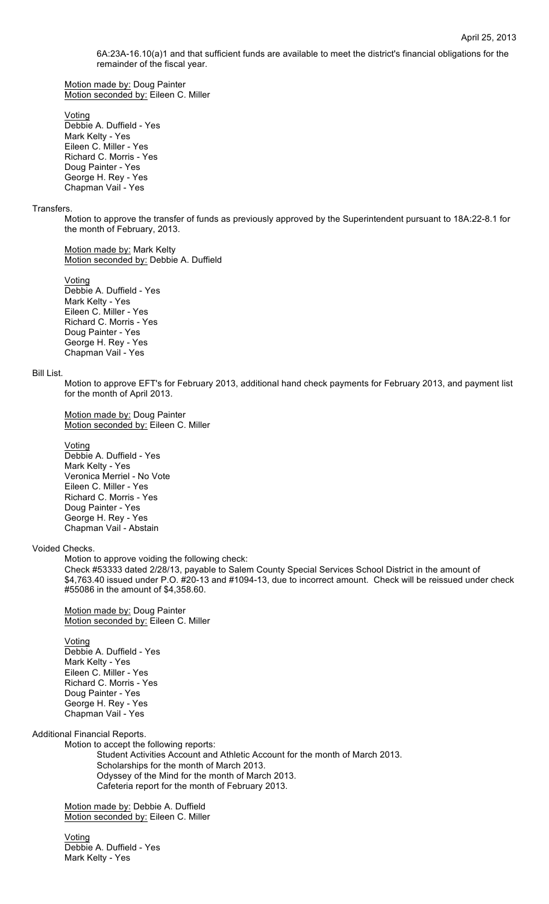6A:23A-16.10(a)1 and that sufficient funds are available to meet the district's financial obligations for the remainder of the fiscal year.

Motion made by: Doug Painter Motion seconded by: Eileen C. Miller

Voting

Debbie A. Duffield - Yes Mark Kelty - Yes Eileen C. Miller - Yes Richard C. Morris - Yes Doug Painter - Yes George H. Rey - Yes Chapman Vail - Yes

#### **Transfers**

Motion to approve the transfer of funds as previously approved by the Superintendent pursuant to 18A:22-8.1 for the month of February, 2013.

Motion made by: Mark Kelty Motion seconded by: Debbie A. Duffield

Voting

Debbie A. Duffield - Yes Mark Kelty - Yes Eileen C. Miller - Yes Richard C. Morris - Yes Doug Painter - Yes George H. Rey - Yes Chapman Vail - Yes

#### Bill List.

Motion to approve EFT's for February 2013, additional hand check payments for February 2013, and payment list for the month of April 2013.

### Motion made by: Doug Painter Motion seconded by: Eileen C. Miller

#### Voting

Debbie A. Duffield - Yes Mark Kelty - Yes Veronica Merriel - No Vote Eileen C. Miller - Yes Richard C. Morris - Yes Doug Painter - Yes George H. Rey - Yes Chapman Vail - Abstain

## Voided Checks.

Motion to approve voiding the following check:

Check #53333 dated 2/28/13, payable to Salem County Special Services School District in the amount of \$4,763.40 issued under P.O. #20-13 and #1094-13, due to incorrect amount. Check will be reissued under check #55086 in the amount of \$4,358.60.

Motion made by: Doug Painter Motion seconded by: Eileen C. Miller

Voting Debbie A. Duffield - Yes Mark Kelty - Yes Eileen C. Miller - Yes Richard C. Morris - Yes Doug Painter - Yes George H. Rey - Yes Chapman Vail - Yes

#### Additional Financial Reports.

Motion to accept the following reports: Student Activities Account and Athletic Account for the month of March 2013. Scholarships for the month of March 2013. Odyssey of the Mind for the month of March 2013. Cafeteria report for the month of February 2013.

Motion made by: Debbie A. Duffield Motion seconded by: Eileen C. Miller

Voting Debbie A. Duffield - Yes Mark Kelty - Yes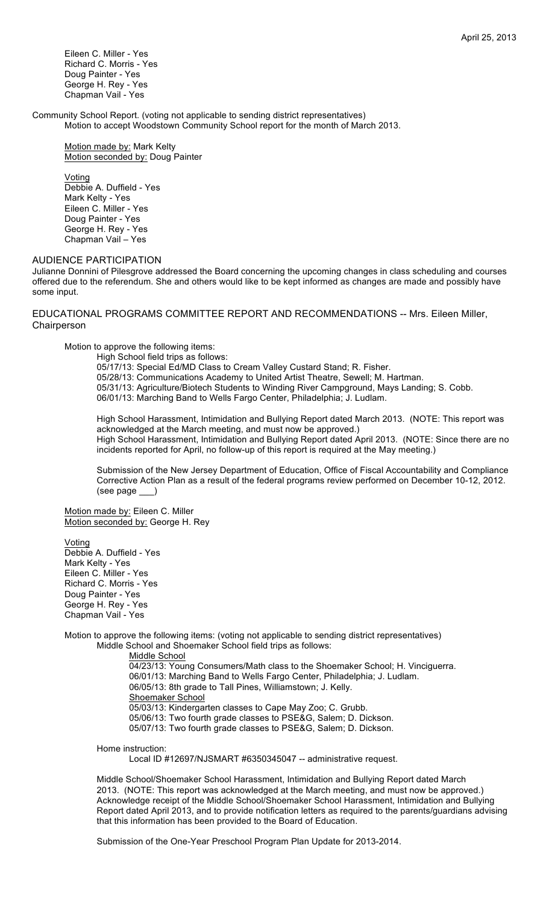Eileen C. Miller - Yes Richard C. Morris - Yes Doug Painter - Yes George H. Rey - Yes Chapman Vail - Yes

Community School Report. (voting not applicable to sending district representatives) Motion to accept Woodstown Community School report for the month of March 2013.

Motion made by: Mark Kelty Motion seconded by: Doug Painter

**Voting** Debbie A. Duffield - Yes Mark Kelty - Yes Eileen C. Miller - Yes Doug Painter - Yes George H. Rey - Yes Chapman Vail – Yes

# AUDIENCE PARTICIPATION

Julianne Donnini of Pilesgrove addressed the Board concerning the upcoming changes in class scheduling and courses offered due to the referendum. She and others would like to be kept informed as changes are made and possibly have some input.

EDUCATIONAL PROGRAMS COMMITTEE REPORT AND RECOMMENDATIONS -- Mrs. Eileen Miller, Chairperson

Motion to approve the following items:

High School field trips as follows: 05/17/13: Special Ed/MD Class to Cream Valley Custard Stand; R. Fisher. 05/28/13: Communications Academy to United Artist Theatre, Sewell; M. Hartman. 05/31/13: Agriculture/Biotech Students to Winding River Campground, Mays Landing; S. Cobb. 06/01/13: Marching Band to Wells Fargo Center, Philadelphia; J. Ludlam.

High School Harassment, Intimidation and Bullying Report dated March 2013. (NOTE: This report was acknowledged at the March meeting, and must now be approved.) High School Harassment, Intimidation and Bullying Report dated April 2013. (NOTE: Since there are no incidents reported for April, no follow-up of this report is required at the May meeting.)

Submission of the New Jersey Department of Education, Office of Fiscal Accountability and Compliance Corrective Action Plan as a result of the federal programs review performed on December 10-12, 2012. (see page \_\_\_)

Motion made by: Eileen C. Miller Motion seconded by: George H. Rey

Voting Debbie A. Duffield - Yes Mark Kelty - Yes Eileen C. Miller - Yes Richard C. Morris - Yes Doug Painter - Yes George H. Rey - Yes Chapman Vail - Yes

Motion to approve the following items: (voting not applicable to sending district representatives) Middle School and Shoemaker School field trips as follows:

> Middle School 04/23/13: Young Consumers/Math class to the Shoemaker School; H. Vinciguerra. 06/01/13: Marching Band to Wells Fargo Center, Philadelphia; J. Ludlam. 06/05/13: 8th grade to Tall Pines, Williamstown; J. Kelly. Shoemaker School 05/03/13: Kindergarten classes to Cape May Zoo; C. Grubb. 05/06/13: Two fourth grade classes to PSE&G, Salem; D. Dickson. 05/07/13: Two fourth grade classes to PSE&G, Salem; D. Dickson.

Home instruction:

Local ID #12697/NJSMART #6350345047 -- administrative request.

Middle School/Shoemaker School Harassment, Intimidation and Bullying Report dated March 2013. (NOTE: This report was acknowledged at the March meeting, and must now be approved.) Acknowledge receipt of the Middle School/Shoemaker School Harassment, Intimidation and Bullying Report dated April 2013, and to provide notification letters as required to the parents/guardians advising that this information has been provided to the Board of Education.

Submission of the One-Year Preschool Program Plan Update for 2013-2014.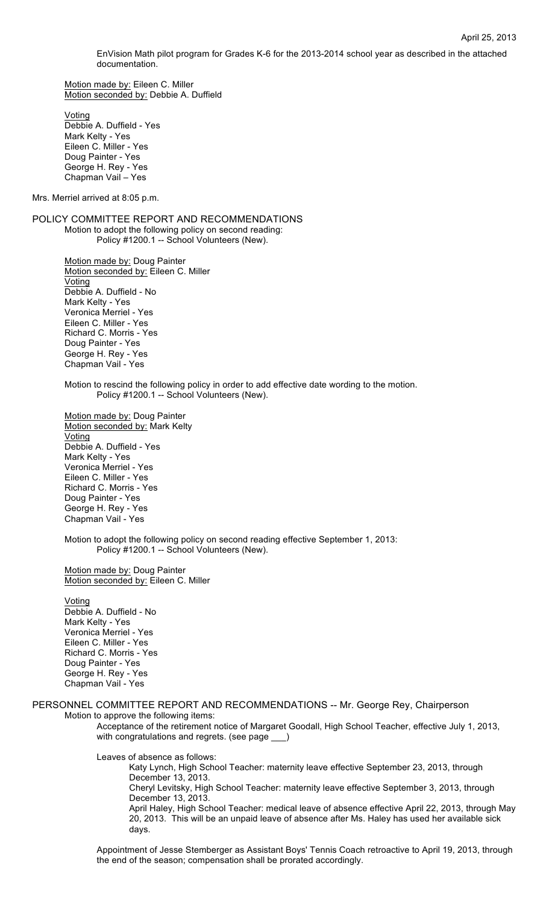EnVision Math pilot program for Grades K-6 for the 2013-2014 school year as described in the attached documentation.

Motion made by: Eileen C. Miller Motion seconded by: Debbie A. Duffield

Voting Debbie A. Duffield - Yes Mark Kelty - Yes Eileen C. Miller - Yes Doug Painter - Yes George H. Rey - Yes Chapman Vail – Yes

Mrs. Merriel arrived at 8:05 p.m.

POLICY COMMITTEE REPORT AND RECOMMENDATIONS Motion to adopt the following policy on second reading: Policy #1200.1 -- School Volunteers (New).

> Motion made by: Doug Painter Motion seconded by: Eileen C. Miller **Voting** Debbie A. Duffield - No Mark Kelty - Yes Veronica Merriel - Yes Eileen C. Miller - Yes Richard C. Morris - Yes Doug Painter - Yes George H. Rey - Yes Chapman Vail - Yes

Motion to rescind the following policy in order to add effective date wording to the motion. Policy #1200.1 -- School Volunteers (New).

Motion made by: Doug Painter Motion seconded by: Mark Kelty Voting Debbie A. Duffield - Yes Mark Kelty - Yes Veronica Merriel - Yes Eileen C. Miller - Yes Richard C. Morris - Yes Doug Painter - Yes George H. Rey - Yes Chapman Vail - Yes

Motion to adopt the following policy on second reading effective September 1, 2013: Policy #1200.1 -- School Volunteers (New).

Motion made by: Doug Painter Motion seconded by: Eileen C. Miller

Voting Debbie A. Duffield - No Mark Kelty - Yes Veronica Merriel - Yes Eileen C. Miller - Yes Richard C. Morris - Yes Doug Painter - Yes George H. Rey - Yes Chapman Vail - Yes

### PERSONNEL COMMITTEE REPORT AND RECOMMENDATIONS -- Mr. George Rey, Chairperson Motion to approve the following items:

Acceptance of the retirement notice of Margaret Goodall, High School Teacher, effective July 1, 2013, with congratulations and regrets. (see page  $\rule{1em}{0.15mm}$ )

Leaves of absence as follows:

Katy Lynch, High School Teacher: maternity leave effective September 23, 2013, through December 13, 2013. Cheryl Levitsky, High School Teacher: maternity leave effective September 3, 2013, through December 13, 2013. April Haley, High School Teacher: medical leave of absence effective April 22, 2013, through May 20, 2013. This will be an unpaid leave of absence after Ms. Haley has used her available sick days.

Appointment of Jesse Stemberger as Assistant Boys' Tennis Coach retroactive to April 19, 2013, through the end of the season; compensation shall be prorated accordingly.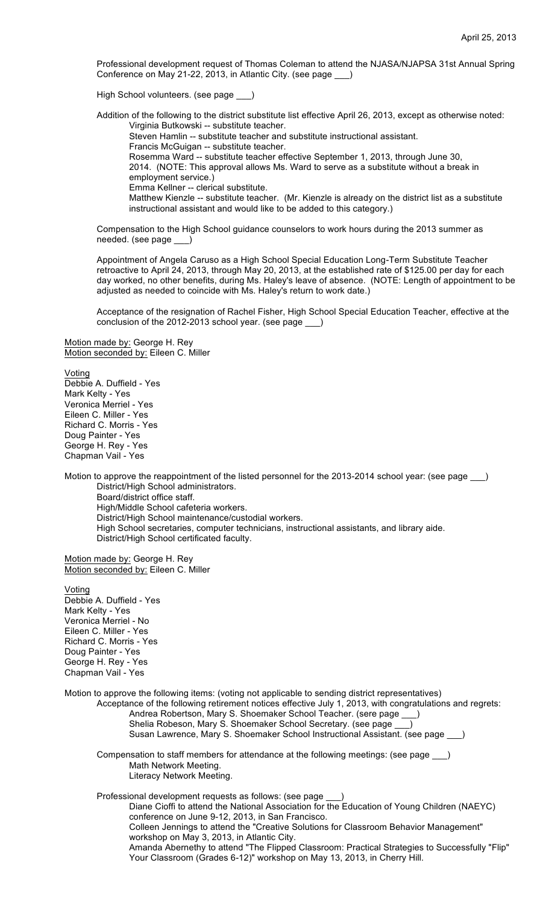Professional development request of Thomas Coleman to attend the NJASA/NJAPSA 31st Annual Spring Conference on May 21-22, 2013, in Atlantic City. (see page \_\_\_)

High School volunteers. (see page

Addition of the following to the district substitute list effective April 26, 2013, except as otherwise noted: Virginia Butkowski -- substitute teacher.

Steven Hamlin -- substitute teacher and substitute instructional assistant.

Francis McGuigan -- substitute teacher.

Rosemma Ward -- substitute teacher effective September 1, 2013, through June 30,

2014. (NOTE: This approval allows Ms. Ward to serve as a substitute without a break in employment service.)

Emma Kellner -- clerical substitute.

Matthew Kienzle -- substitute teacher. (Mr. Kienzle is already on the district list as a substitute instructional assistant and would like to be added to this category.)

Compensation to the High School guidance counselors to work hours during the 2013 summer as needed. (see page

Appointment of Angela Caruso as a High School Special Education Long-Term Substitute Teacher retroactive to April 24, 2013, through May 20, 2013, at the established rate of \$125.00 per day for each day worked, no other benefits, during Ms. Haley's leave of absence. (NOTE: Length of appointment to be adjusted as needed to coincide with Ms. Haley's return to work date.)

Acceptance of the resignation of Rachel Fisher, High School Special Education Teacher, effective at the conclusion of the 2012-2013 school year. (see page \_\_\_)

Motion made by: George H. Rey Motion seconded by: Eileen C. Miller

**Voting** Debbie A. Duffield - Yes Mark Kelty - Yes Veronica Merriel - Yes Eileen C. Miller - Yes Richard C. Morris - Yes Doug Painter - Yes George H. Rey - Yes Chapman Vail - Yes

Motion to approve the reappointment of the listed personnel for the 2013-2014 school year: (see page \_\_\_) District/High School administrators.

Board/district office staff. High/Middle School cafeteria workers. District/High School maintenance/custodial workers. High School secretaries, computer technicians, instructional assistants, and library aide. District/High School certificated faculty.

Motion made by: George H. Rey Motion seconded by: Eileen C. Miller

**Voting** Debbie A. Duffield - Yes Mark Kelty - Yes Veronica Merriel - No Eileen C. Miller - Yes Richard C. Morris - Yes Doug Painter - Yes George H. Rey - Yes Chapman Vail - Yes

Motion to approve the following items: (voting not applicable to sending district representatives) Acceptance of the following retirement notices effective July 1, 2013, with congratulations and regrets: Andrea Robertson, Mary S. Shoemaker School Teacher. (sere page \_ Shelia Robeson, Mary S. Shoemaker School Secretary. (see page Susan Lawrence, Mary S. Shoemaker School Instructional Assistant. (see page \_\_\_)

Compensation to staff members for attendance at the following meetings: (see page \_\_\_) Math Network Meeting. Literacy Network Meeting.

Professional development requests as follows: (see page

Diane Cioffi to attend the National Association for the Education of Young Children (NAEYC) conference on June 9-12, 2013, in San Francisco. Colleen Jennings to attend the "Creative Solutions for Classroom Behavior Management" workshop on May 3, 2013, in Atlantic City.

Amanda Abernethy to attend "The Flipped Classroom: Practical Strategies to Successfully "Flip" Your Classroom (Grades 6-12)" workshop on May 13, 2013, in Cherry Hill.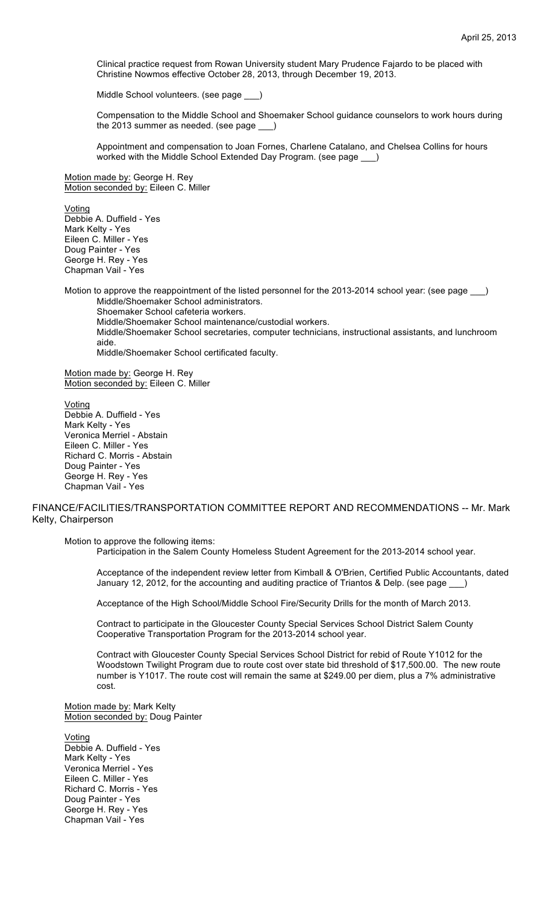Clinical practice request from Rowan University student Mary Prudence Fajardo to be placed with Christine Nowmos effective October 28, 2013, through December 19, 2013.

Middle School volunteers. (see page

Compensation to the Middle School and Shoemaker School guidance counselors to work hours during the 2013 summer as needed. (see page \_\_\_)

Appointment and compensation to Joan Fornes, Charlene Catalano, and Chelsea Collins for hours worked with the Middle School Extended Day Program. (see page

Motion made by: George H. Rey Motion seconded by: Eileen C. Miller

Voting Debbie A. Duffield - Yes Mark Kelty - Yes Eileen C. Miller - Yes Doug Painter - Yes George H. Rey - Yes Chapman Vail - Yes

Motion to approve the reappointment of the listed personnel for the 2013-2014 school year: (see page \_\_\_) Middle/Shoemaker School administrators. Shoemaker School cafeteria workers. Middle/Shoemaker School maintenance/custodial workers. Middle/Shoemaker School secretaries, computer technicians, instructional assistants, and lunchroom aide. Middle/Shoemaker School certificated faculty.

Motion made by: George H. Rey Motion seconded by: Eileen C. Miller

Voting Debbie A. Duffield - Yes Mark Kelty - Yes Veronica Merriel - Abstain Eileen C. Miller - Yes Richard C. Morris - Abstain Doug Painter - Yes George H. Rey - Yes Chapman Vail - Yes

# FINANCE/FACILITIES/TRANSPORTATION COMMITTEE REPORT AND RECOMMENDATIONS -- Mr. Mark Kelty, Chairperson

Motion to approve the following items:

Participation in the Salem County Homeless Student Agreement for the 2013-2014 school year.

Acceptance of the independent review letter from Kimball & O'Brien, Certified Public Accountants, dated January 12, 2012, for the accounting and auditing practice of Triantos & Delp. (see page

Acceptance of the High School/Middle School Fire/Security Drills for the month of March 2013.

Contract to participate in the Gloucester County Special Services School District Salem County Cooperative Transportation Program for the 2013-2014 school year.

Contract with Gloucester County Special Services School District for rebid of Route Y1012 for the Woodstown Twilight Program due to route cost over state bid threshold of \$17,500.00. The new route number is Y1017. The route cost will remain the same at \$249.00 per diem, plus a 7% administrative cost.

Motion made by: Mark Kelty Motion seconded by: Doug Painter

Voting Debbie A. Duffield - Yes Mark Kelty - Yes Veronica Merriel - Yes Eileen C. Miller - Yes Richard C. Morris - Yes Doug Painter - Yes George H. Rey - Yes Chapman Vail - Yes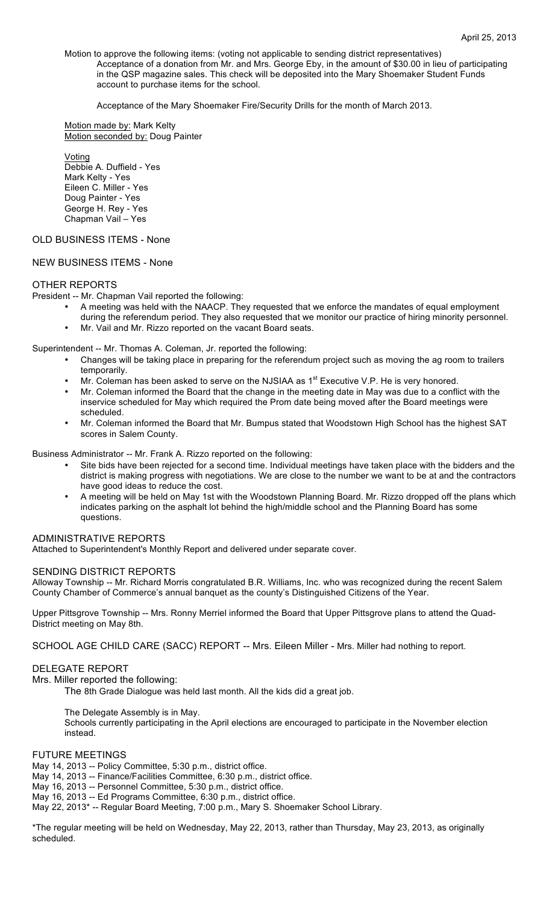Motion to approve the following items: (voting not applicable to sending district representatives) Acceptance of a donation from Mr. and Mrs. George Eby, in the amount of \$30.00 in lieu of participating in the QSP magazine sales. This check will be deposited into the Mary Shoemaker Student Funds account to purchase items for the school.

Acceptance of the Mary Shoemaker Fire/Security Drills for the month of March 2013.

Motion made by: Mark Kelty Motion seconded by: Doug Painter

Voting Debbie A. Duffield - Yes Mark Kelty - Yes Eileen C. Miller - Yes Doug Painter - Yes George H. Rey - Yes Chapman Vail – Yes

# OLD BUSINESS ITEMS - None

## NEW BUSINESS ITEMS - None

## OTHER REPORTS

President -- Mr. Chapman Vail reported the following:

- A meeting was held with the NAACP. They requested that we enforce the mandates of equal employment during the referendum period. They also requested that we monitor our practice of hiring minority personnel.
- Mr. Vail and Mr. Rizzo reported on the vacant Board seats.

Superintendent -- Mr. Thomas A. Coleman, Jr. reported the following:

- Changes will be taking place in preparing for the referendum project such as moving the ag room to trailers temporarily.
- Mr. Coleman has been asked to serve on the NJSIAA as 1<sup>st</sup> Executive V.P. He is very honored.
- Mr. Coleman informed the Board that the change in the meeting date in May was due to a conflict with the inservice scheduled for May which required the Prom date being moved after the Board meetings were scheduled.
- Mr. Coleman informed the Board that Mr. Bumpus stated that Woodstown High School has the highest SAT scores in Salem County.

Business Administrator -- Mr. Frank A. Rizzo reported on the following:

- Site bids have been rejected for a second time. Individual meetings have taken place with the bidders and the district is making progress with negotiations. We are close to the number we want to be at and the contractors have good ideas to reduce the cost.
- A meeting will be held on May 1st with the Woodstown Planning Board. Mr. Rizzo dropped off the plans which indicates parking on the asphalt lot behind the high/middle school and the Planning Board has some questions.

## ADMINISTRATIVE REPORTS

Attached to Superintendent's Monthly Report and delivered under separate cover.

## SENDING DISTRICT REPORTS

Alloway Township -- Mr. Richard Morris congratulated B.R. Williams, Inc. who was recognized during the recent Salem County Chamber of Commerce's annual banquet as the county's Distinguished Citizens of the Year.

Upper Pittsgrove Township -- Mrs. Ronny Merriel informed the Board that Upper Pittsgrove plans to attend the Quad-District meeting on May 8th.

SCHOOL AGE CHILD CARE (SACC) REPORT -- Mrs. Eileen Miller - Mrs. Miller had nothing to report.

## DELEGATE REPORT

Mrs. Miller reported the following:

The 8th Grade Dialogue was held last month. All the kids did a great job.

The Delegate Assembly is in May.

Schools currently participating in the April elections are encouraged to participate in the November election instead.

## FUTURE MEETINGS

May 14, 2013 -- Policy Committee, 5:30 p.m., district office.

May 14, 2013 -- Finance/Facilities Committee, 6:30 p.m., district office.

May 16, 2013 -- Personnel Committee, 5:30 p.m., district office.

May 16, 2013 -- Ed Programs Committee, 6:30 p.m., district office.

May 22, 2013\* -- Regular Board Meeting, 7:00 p.m., Mary S. Shoemaker School Library.

\*The regular meeting will be held on Wednesday, May 22, 2013, rather than Thursday, May 23, 2013, as originally scheduled.